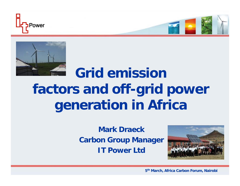



## **Grid emission factors and off-grid power generation in Africa**

**Mark DraeckCarbon Group Manager IT Power Ltd**



**5th March, Africa Carbon Forum, Nairobi**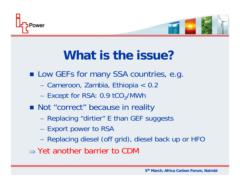

## **What is the issue?**

**Low GEFs for many SSA countries, e.g.** 

- Cameroon, Zambia, Ethiopia < 0.2
- Except for RSA:  $0.9$  tCO<sub>2</sub>/MWh
- **Not "correct" because in reality** 
	- Replacing "dirtier" E than GEF suggests
	- Export power to RSA
	- Replacing diesel (off grid), diesel back up or HFO
- ⇒ Yet another barrier to CDM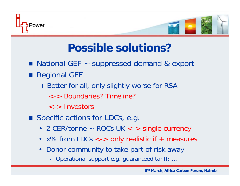



## **Possible solutions?**

- National GEF ~ suppressed demand & export
- **Regional GEF** 
	- + Better for all, only slightly worse for RSA
		- <-> Boundaries? Timeline?
		- <-> Investors
- **Specific actions for LDCs, e.g.** 
	- 2 CER/tonne ~ ROCs UK <-> single currency
	- x% from LDCs <-> only realistic if + measures
	- Donor community to take part of risk away
		- Operational support e.g. guaranteed tariff; ...